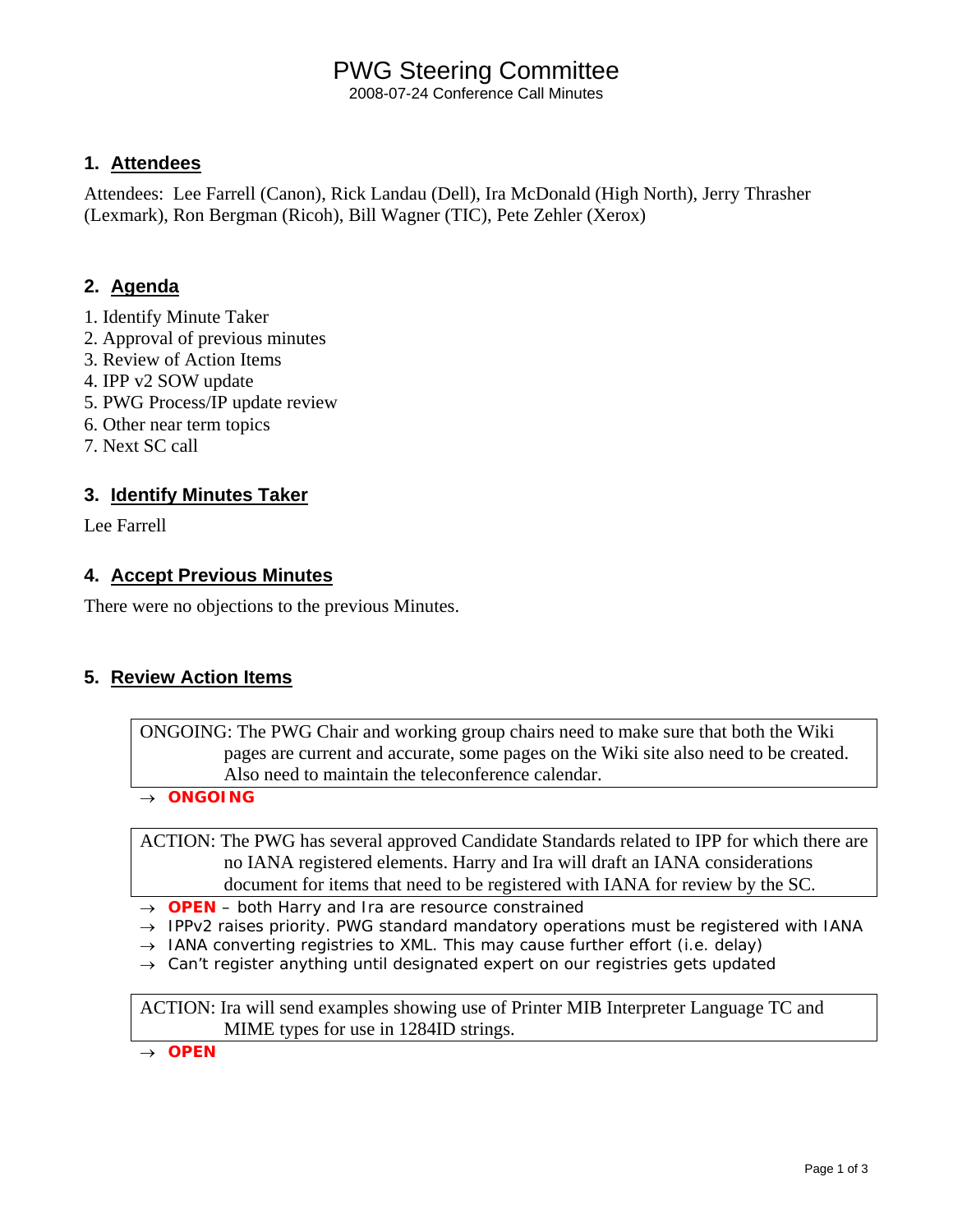# PWG Steering Committee

2008-07-24 Conference Call Minutes

### **1. Attendees**

Attendees: Lee Farrell (Canon), Rick Landau (Dell), Ira McDonald (High North), Jerry Thrasher (Lexmark), Ron Bergman (Ricoh), Bill Wagner (TIC), Pete Zehler (Xerox)

### **2. Agenda**

- 1. Identify Minute Taker
- 2. Approval of previous minutes
- 3. Review of Action Items
- 4. IPP v2 SOW update
- 5. PWG Process/IP update review
- 6. Other near term topics
- 7. Next SC call

### **3. Identify Minutes Taker**

Lee Farrell

#### **4. Accept Previous Minutes**

There were no objections to the previous Minutes.

#### **5. Review Action Items**

ONGOING: The PWG Chair and working group chairs need to make sure that both the Wiki pages are current and accurate, some pages on the Wiki site also need to be created. Also need to maintain the teleconference calendar.

→ *ONGOING* 

ACTION: The PWG has several approved Candidate Standards related to IPP for which there are no IANA registered elements. Harry and Ira will draft an IANA considerations document for items that need to be registered with IANA for review by the SC.

- → *OPEN both Harry and Ira are resource constrained*
- → *IPPv2 raises priority. PWG standard mandatory operations must be registered with IANA*
- → *IANA converting registries to XML. This may cause further effort (i.e. delay)*
- → *Can't register anything until designated expert on our registries gets updated*

ACTION: Ira will send examples showing use of Printer MIB Interpreter Language TC and MIME types for use in 1284ID strings.

→ *OPEN*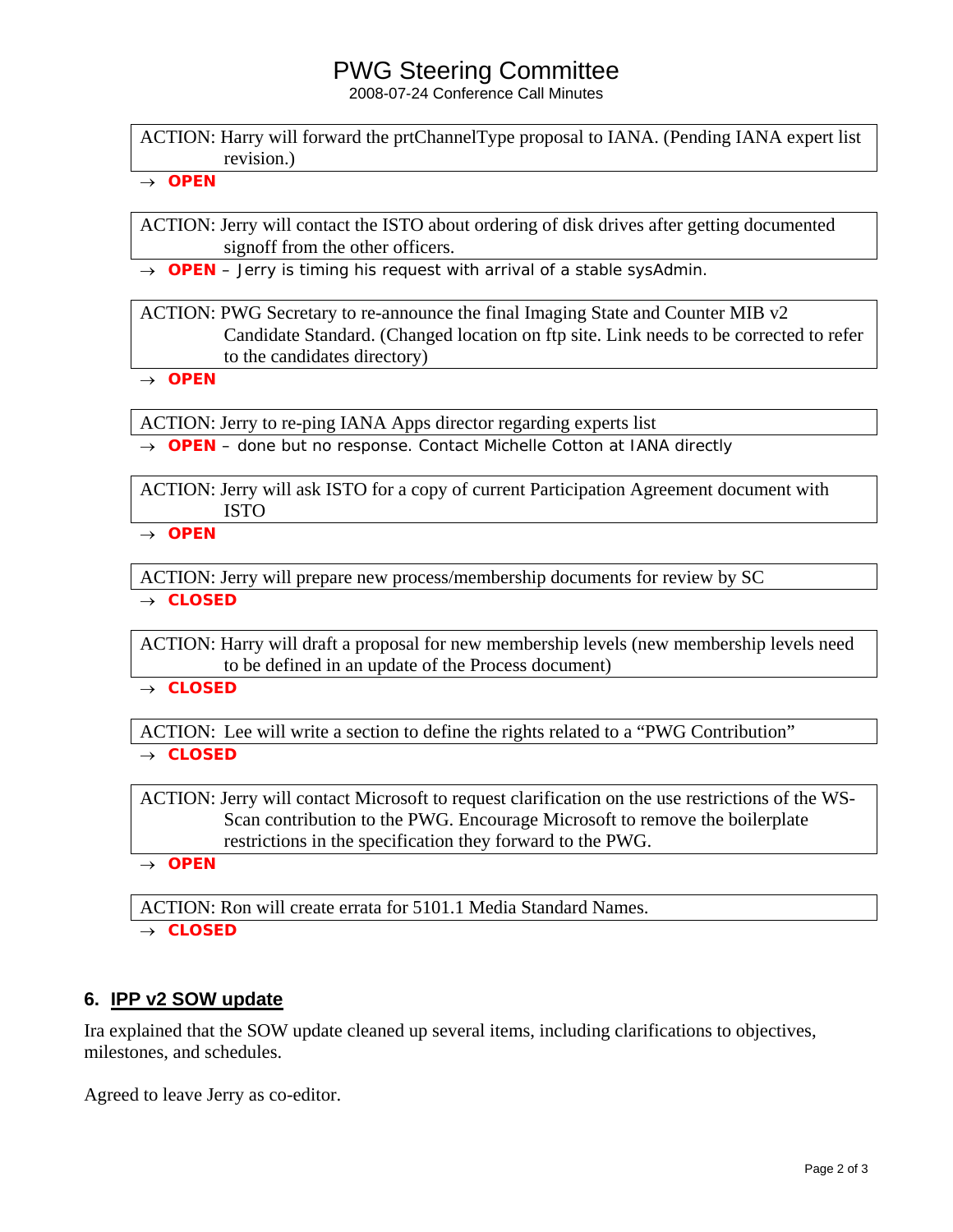## PWG Steering Committee

2008-07-24 Conference Call Minutes

ACTION: Harry will forward the prtChannelType proposal to IANA. (Pending IANA expert list revision.)

→ *OPEN* 

ACTION: Jerry will contact the ISTO about ordering of disk drives after getting documented signoff from the other officers.

→ *OPEN – Jerry is timing his request with arrival of a stable sysAdmin.* 

ACTION: PWG Secretary to re-announce the final Imaging State and Counter MIB v2 Candidate Standard. (Changed location on ftp site. Link needs to be corrected to refer to the candidates directory)

→ *OPEN* 

ACTION: Jerry to re-ping IANA Apps director regarding experts list

→ *OPEN – done but no response. Contact Michelle Cotton at IANA directly* 

ACTION: Jerry will ask ISTO for a copy of current Participation Agreement document with ISTO

→ *OPEN* 

ACTION: Jerry will prepare new process/membership documents for review by SC → *CLOSED* 

ACTION: Harry will draft a proposal for new membership levels (new membership levels need to be defined in an update of the Process document)

→ *CLOSED* 

ACTION: Lee will write a section to define the rights related to a "PWG Contribution" → *CLOSED* 

ACTION: Jerry will contact Microsoft to request clarification on the use restrictions of the WS-Scan contribution to the PWG. Encourage Microsoft to remove the boilerplate restrictions in the specification they forward to the PWG.

→ *OPEN* 

ACTION: Ron will create errata for 5101.1 Media Standard Names.

→ *CLOSED* 

### **6. IPP v2 SOW update**

Ira explained that the SOW update cleaned up several items, including clarifications to objectives, milestones, and schedules.

Agreed to leave Jerry as co-editor.